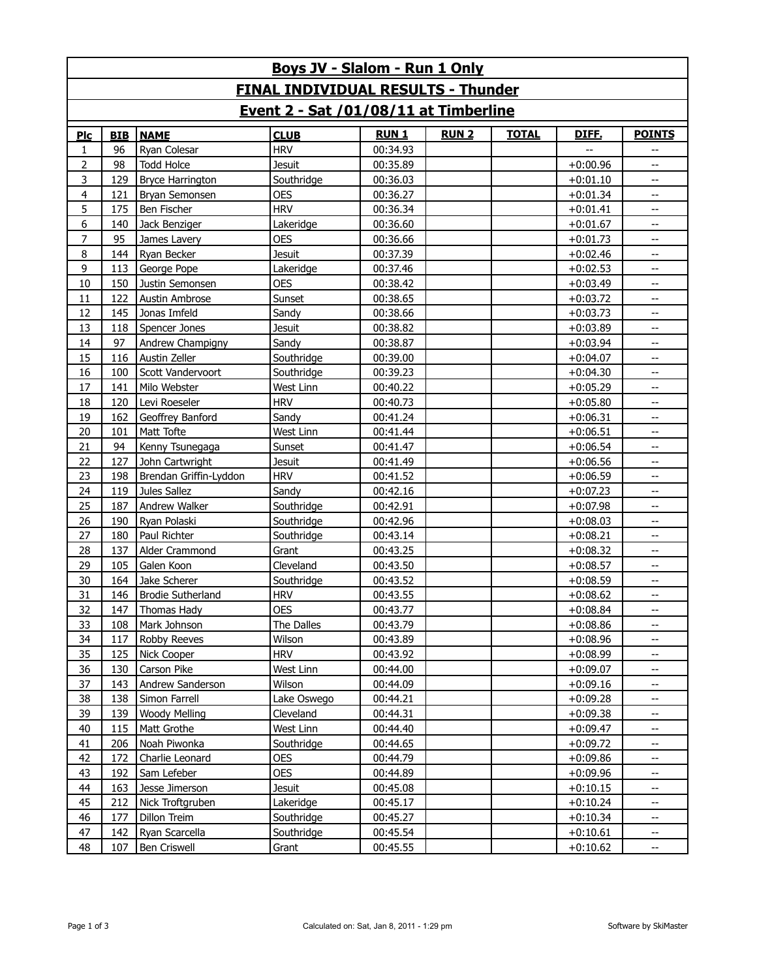| Boys JV - Slalom - Run 1 Only             |            |                          |               |             |             |              |            |                          |  |
|-------------------------------------------|------------|--------------------------|---------------|-------------|-------------|--------------|------------|--------------------------|--|
| <b>FINAL INDIVIDUAL RESULTS - Thunder</b> |            |                          |               |             |             |              |            |                          |  |
| Event 2 - Sat /01/08/11 at Timberline     |            |                          |               |             |             |              |            |                          |  |
| Plc                                       | <b>BIB</b> | <b>NAME</b>              | <b>CLUB</b>   | <b>RUN1</b> | <b>RUN2</b> | <b>TOTAL</b> | DIFF.      | <b>POINTS</b>            |  |
| $\mathbf{1}$                              | 96         | Ryan Colesar             | <b>HRV</b>    | 00:34.93    |             |              |            | --                       |  |
| $\overline{2}$                            | 98         | <b>Todd Holce</b>        | <b>Jesuit</b> | 00:35.89    |             |              | $+0:00.96$ | --                       |  |
| 3                                         | 129        | <b>Bryce Harrington</b>  | Southridge    | 00:36.03    |             |              | $+0:01.10$ | $\overline{\phantom{a}}$ |  |
| $\overline{4}$                            | 121        | Bryan Semonsen           | <b>OES</b>    | 00:36.27    |             |              | $+0:01.34$ | $\overline{\phantom{a}}$ |  |
| 5                                         | 175        | Ben Fischer              | <b>HRV</b>    | 00:36.34    |             |              | $+0:01.41$ | Щ,                       |  |
| 6                                         | 140        | Jack Benziger            | Lakeridge     | 00:36.60    |             |              | $+0:01.67$ | --                       |  |
| 7                                         | 95         | James Lavery             | <b>OES</b>    | 00:36.66    |             |              | $+0:01.73$ | --                       |  |
| 8                                         | 144        | Ryan Becker              | <b>Jesuit</b> | 00:37.39    |             |              | $+0:02.46$ | --                       |  |
| 9                                         | 113        | George Pope              | Lakeridge     | 00:37.46    |             |              | $+0:02.53$ | Щ,                       |  |
| 10                                        | 150        | Justin Semonsen          | <b>OES</b>    | 00:38.42    |             |              | $+0:03.49$ | $\overline{\phantom{a}}$ |  |
| 11                                        | 122        | Austin Ambrose           | Sunset        | 00:38.65    |             |              | $+0:03.72$ | $\overline{\phantom{a}}$ |  |
| 12                                        | 145        | Jonas Imfeld             | Sandy         | 00:38.66    |             |              | $+0:03.73$ | $\overline{\phantom{a}}$ |  |
| 13                                        | 118        | Spencer Jones            | <b>Jesuit</b> | 00:38.82    |             |              | $+0:03.89$ | $\overline{\phantom{a}}$ |  |
| 14                                        | 97         | Andrew Champigny         | Sandy         | 00:38.87    |             |              | $+0:03.94$ | Щ,                       |  |
| 15                                        | 116        | Austin Zeller            | Southridge    | 00:39.00    |             |              | $+0:04.07$ | --                       |  |
| 16                                        | 100        | Scott Vandervoort        | Southridge    | 00:39.23    |             |              | $+0:04.30$ | --                       |  |
| 17                                        | 141        | Milo Webster             | West Linn     | 00:40.22    |             |              | $+0:05.29$ | --                       |  |
| 18                                        | 120        | Levi Roeseler            | <b>HRV</b>    | 00:40.73    |             |              | $+0:05.80$ | Щ,                       |  |
| 19                                        | 162        | Geoffrey Banford         | Sandy         | 00:41.24    |             |              | $+0:06.31$ | $\overline{\phantom{a}}$ |  |
| 20                                        | 101        | Matt Tofte               | West Linn     | 00:41.44    |             |              | $+0:06.51$ | $\overline{\phantom{a}}$ |  |
| 21                                        | 94         | Kenny Tsunegaga          | Sunset        | 00:41.47    |             |              | $+0:06.54$ | Щ,                       |  |
| 22                                        | 127        | John Cartwright          | <b>Jesuit</b> | 00:41.49    |             |              | $+0:06.56$ | $\overline{\phantom{a}}$ |  |
| 23                                        | 198        | Brendan Griffin-Lyddon   | <b>HRV</b>    | 00:41.52    |             |              | $+0:06.59$ | Щ,                       |  |
| 24                                        | 119        | Jules Sallez             | Sandy         | 00:42.16    |             |              | $+0:07.23$ | --                       |  |
| 25                                        | 187        | Andrew Walker            | Southridge    | 00:42.91    |             |              | $+0:07.98$ | Щ,                       |  |
| 26                                        | 190        | Ryan Polaski             | Southridge    | 00:42.96    |             |              | $+0:08.03$ | $\overline{\phantom{a}}$ |  |
| 27                                        | 180        | Paul Richter             | Southridge    | 00:43.14    |             |              | $+0:08.21$ | Щ,                       |  |
| 28                                        | 137        | Alder Crammond           | Grant         | 00:43.25    |             |              | $+0:08.32$ | $\overline{\phantom{a}}$ |  |
| 29                                        | 105        | Galen Koon               | Cleveland     | 00:43.50    |             |              | $+0:08.57$ | $\overline{\phantom{a}}$ |  |
| 30                                        | 164        | Jake Scherer             | Southridge    | 00:43.52    |             |              | $+0:08.59$ | Щ,                       |  |
| 31                                        | 146        | <b>Brodie Sutherland</b> | <b>HRV</b>    | 00:43.55    |             |              | $+0:08.62$ | --                       |  |
| 32                                        | 147        | Thomas Hady              | <b>OES</b>    | 00:43.77    |             |              | $+0:08.84$ |                          |  |
| 33                                        | 108        | Mark Johnson             | The Dalles    | 00:43.79    |             |              | $+0:08.86$ | --                       |  |
| 34                                        | 117        | Robby Reeves             | Wilson        | 00:43.89    |             |              | $+0:08.96$ | --                       |  |
| 35                                        | 125        | Nick Cooper              | <b>HRV</b>    | 00:43.92    |             |              | $+0:08.99$ | --                       |  |
| 36                                        | 130        | Carson Pike              | West Linn     | 00:44.00    |             |              | $+0:09.07$ | --                       |  |
| 37                                        | 143        | Andrew Sanderson         | Wilson        | 00:44.09    |             |              | $+0:09.16$ | $\overline{\phantom{a}}$ |  |
| 38                                        | 138        | Simon Farrell            | Lake Oswego   | 00:44.21    |             |              | $+0:09.28$ | --                       |  |
| 39                                        | 139        | <b>Woody Melling</b>     | Cleveland     | 00:44.31    |             |              | $+0:09.38$ | $\overline{\phantom{a}}$ |  |
| 40                                        | 115        | Matt Grothe              | West Linn     | 00:44.40    |             |              | $+0:09.47$ |                          |  |
| 41                                        | 206        | Noah Piwonka             | Southridge    | 00:44.65    |             |              | $+0:09.72$ | $\overline{\phantom{a}}$ |  |
| 42                                        | 172        | Charlie Leonard          | <b>OES</b>    | 00:44.79    |             |              | $+0:09.86$ | --                       |  |
| 43                                        | 192        | Sam Lefeber              | <b>OES</b>    | 00:44.89    |             |              | $+0:09.96$ | --                       |  |
| 44                                        | 163        | Jesse Jimerson           | Jesuit        | 00:45.08    |             |              | $+0:10.15$ | --                       |  |
| 45                                        | 212        | Nick Troftgruben         | Lakeridge     | 00:45.17    |             |              | $+0:10.24$ | --                       |  |
| 46                                        | 177        | Dillon Treim             | Southridge    | 00:45.27    |             |              | $+0:10.34$ | $\overline{\phantom{a}}$ |  |
| 47                                        | 142        | Ryan Scarcella           | Southridge    | 00:45.54    |             |              | $+0:10.61$ | --                       |  |
| 48                                        | 107        | Ben Criswell             | Grant         | 00:45.55    |             |              | $+0:10.62$ | $\overline{\phantom{a}}$ |  |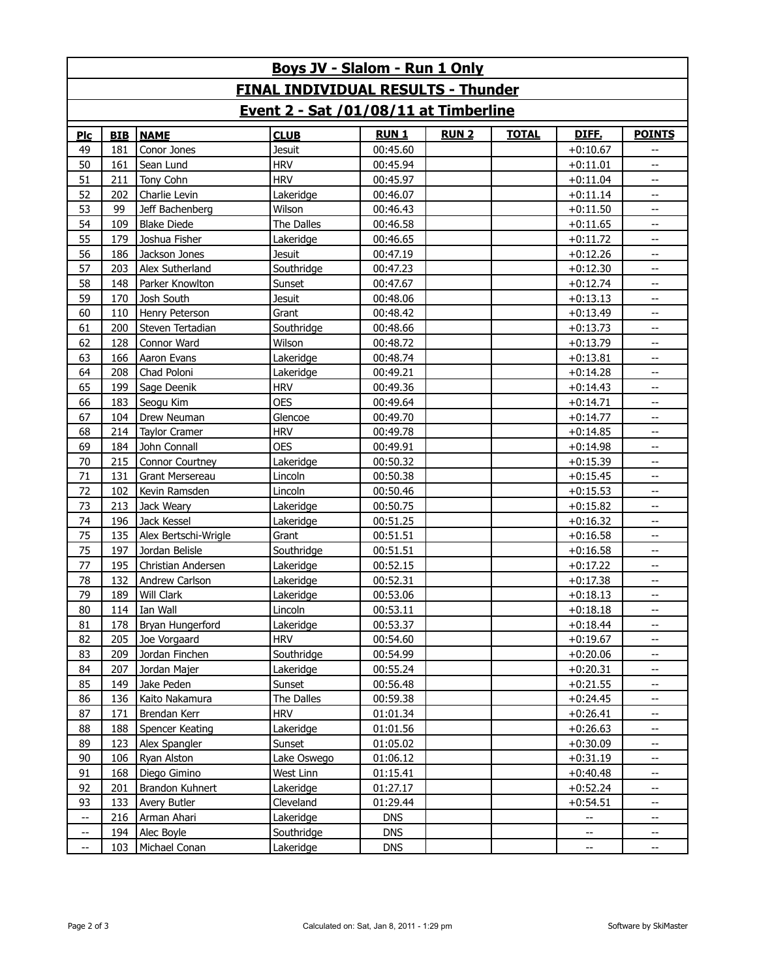| Boys JV - Slalom - Run 1 Only             |            |                      |               |             |             |              |                            |               |  |
|-------------------------------------------|------------|----------------------|---------------|-------------|-------------|--------------|----------------------------|---------------|--|
| <b>FINAL INDIVIDUAL RESULTS - Thunder</b> |            |                      |               |             |             |              |                            |               |  |
| Event 2 - Sat /01/08/11 at Timberline     |            |                      |               |             |             |              |                            |               |  |
| Plc                                       | <b>BIB</b> | <b>NAME</b>          | <b>CLUB</b>   | <b>RUN1</b> | <b>RUN2</b> | <b>TOTAL</b> | <b>DIFE.</b>               | <b>POINTS</b> |  |
| 49                                        | 181        | Conor Jones          | <b>Jesuit</b> | 00:45.60    |             |              | $+0:10.67$                 |               |  |
| 50                                        | 161        | Sean Lund            | <b>HRV</b>    | 00:45.94    |             |              | $+0:11.01$                 | --            |  |
| 51                                        | 211        | Tony Cohn            | <b>HRV</b>    | 00:45.97    |             |              | $+0:11.04$                 | Щ,            |  |
| 52                                        | 202        | Charlie Levin        | Lakeridge     | 00:46.07    |             |              | $+0:11.14$                 | --            |  |
| 53                                        | 99         | Jeff Bachenberg      | Wilson        | 00:46.43    |             |              | $+0:11.50$                 | Щ,            |  |
| 54                                        | 109        | <b>Blake Diede</b>   | The Dalles    | 00:46.58    |             |              | $+0:11.65$                 | --            |  |
| 55                                        | 179        | Joshua Fisher        | Lakeridge     | 00:46.65    |             |              | $+0:11.72$                 | Щ,            |  |
| 56                                        | 186        | Jackson Jones        | <b>Jesuit</b> | 00:47.19    |             |              | $+0:12.26$                 | --            |  |
| 57                                        | 203        | Alex Sutherland      | Southridge    | 00:47.23    |             |              | $+0:12.30$                 | --            |  |
| 58                                        | 148        | Parker Knowlton      | Sunset        | 00:47.67    |             |              | $+0:12.74$                 | --            |  |
| 59                                        | 170        | Josh South           | <b>Jesuit</b> | 00:48.06    |             |              | $+0:13.13$                 | Щ,            |  |
| 60                                        | 110        | Henry Peterson       | Grant         | 00:48.42    |             |              | $+0:13.49$                 | Щ,            |  |
| 61                                        | 200        | Steven Tertadian     | Southridge    | 00:48.66    |             |              | $+0:13.73$                 | --            |  |
| 62                                        | 128        | Connor Ward          | Wilson        | 00:48.72    |             |              | $+0:13.79$                 | Щ,            |  |
| 63                                        | 166        | Aaron Evans          | Lakeridge     | 00:48.74    |             |              | $+0:13.81$                 | --            |  |
| 64                                        | 208        | Chad Poloni          | Lakeridge     | 00:49.21    |             |              | $+0:14.28$                 | --            |  |
| 65                                        | 199        | Sage Deenik          | <b>HRV</b>    | 00:49.36    |             |              | $+0:14.43$                 | --            |  |
| 66                                        | 183        | Seogu Kim            | <b>OES</b>    | 00:49.64    |             |              | $+0:14.71$                 | --            |  |
| 67                                        | 104        | Drew Neuman          | Glencoe       | 00:49.70    |             |              | $+0:14.77$                 | --            |  |
| 68                                        | 214        | <b>Taylor Cramer</b> | <b>HRV</b>    | 00:49.78    |             |              | $+0:14.85$                 | Щ,            |  |
| 69                                        | 184        | John Connall         | <b>OES</b>    | 00:49.91    |             |              | $+0:14.98$                 | Щ,            |  |
| 70                                        | 215        | Connor Courtney      | Lakeridge     | 00:50.32    |             |              | $+0:15.39$                 | --            |  |
| 71                                        | 131        | Grant Mersereau      | Lincoln       | 00:50.38    |             |              | $+0:15.45$                 | Щ,            |  |
| 72                                        | 102        | Kevin Ramsden        | Lincoln       | 00:50.46    |             |              | $+0:15.53$                 | --            |  |
| 73                                        | 213        | Jack Weary           | Lakeridge     | 00:50.75    |             |              | $+0:15.82$                 | --            |  |
| 74                                        | 196        | Jack Kessel          | Lakeridge     | 00:51.25    |             |              | $+0:16.32$                 | --            |  |
| 75                                        | 135        | Alex Bertschi-Wrigle | Grant         | 00:51.51    |             |              | $+0:16.58$                 | --            |  |
| 75                                        | 197        | Jordan Belisle       | Southridge    | 00:51.51    |             |              | $+0:16.58$                 | --            |  |
| 77                                        | 195        | Christian Andersen   | Lakeridge     | 00:52.15    |             |              | $+0:17.22$                 | --            |  |
| 78                                        | 132        | Andrew Carlson       | Lakeridge     | 00:52.31    |             |              | $+0:17.38$                 | Щ,            |  |
| 79                                        | 189        | Will Clark           | Lakeridge     | 00:53.06    |             |              | $+0:18.13$                 | --            |  |
| 80                                        |            | 114 Ian Wall         | Lincoln       | 00:53.11    |             |              | $+0:18.18$                 |               |  |
| 81                                        | 178        | Bryan Hungerford     | Lakeridge     | 00:53.37    |             |              | $+0:18.44$                 | --            |  |
| 82                                        | 205        | Joe Vorgaard         | <b>HRV</b>    | 00:54.60    |             |              | $+0:19.67$                 | Щ,            |  |
| 83                                        | 209        | Jordan Finchen       | Southridge    | 00:54.99    |             |              | $+0:20.06$                 |               |  |
| 84                                        | 207        | Jordan Majer         | Lakeridge     | 00:55.24    |             |              | $+0:20.31$                 | --            |  |
| 85                                        | 149        | Jake Peden           | Sunset        | 00:56.48    |             |              | $+0:21.55$                 | --            |  |
| 86                                        | 136        | Kaito Nakamura       | The Dalles    | 00:59.38    |             |              | $+0:24.45$                 | --            |  |
| 87                                        | 171        | Brendan Kerr         | <b>HRV</b>    | 01:01.34    |             |              | $+0:26.41$                 | --            |  |
| 88                                        | 188        | Spencer Keating      | Lakeridge     | 01:01.56    |             |              | $+0:26.63$                 | --            |  |
| 89                                        | 123        | Alex Spangler        | Sunset        | 01:05.02    |             |              | $+0:30.09$                 | Щ.            |  |
| 90                                        | 106        | Ryan Alston          | Lake Oswego   | 01:06.12    |             |              | $+0:31.19$                 |               |  |
| 91                                        | 168        | Diego Gimino         | West Linn     | 01:15.41    |             |              | $+0:40.48$                 | --            |  |
| 92                                        | 201        | Brandon Kuhnert      | Lakeridge     | 01:27.17    |             |              | $+0:52.24$                 | --            |  |
| 93                                        | 133        | Avery Butler         | Cleveland     | 01:29.44    |             |              | $+0:54.51$                 | --            |  |
| $\overline{a}$                            | 216        | Arman Ahari          | Lakeridge     | <b>DNS</b>  |             |              | --                         | --            |  |
| $\overline{\phantom{a}}$                  | 194        | Alec Boyle           | Southridge    | <b>DNS</b>  |             |              | $-$                        | --            |  |
| --                                        | 103        | Michael Conan        | Lakeridge     | <b>DNS</b>  |             |              | $\mathcal{L}(\mathcal{L})$ | --            |  |